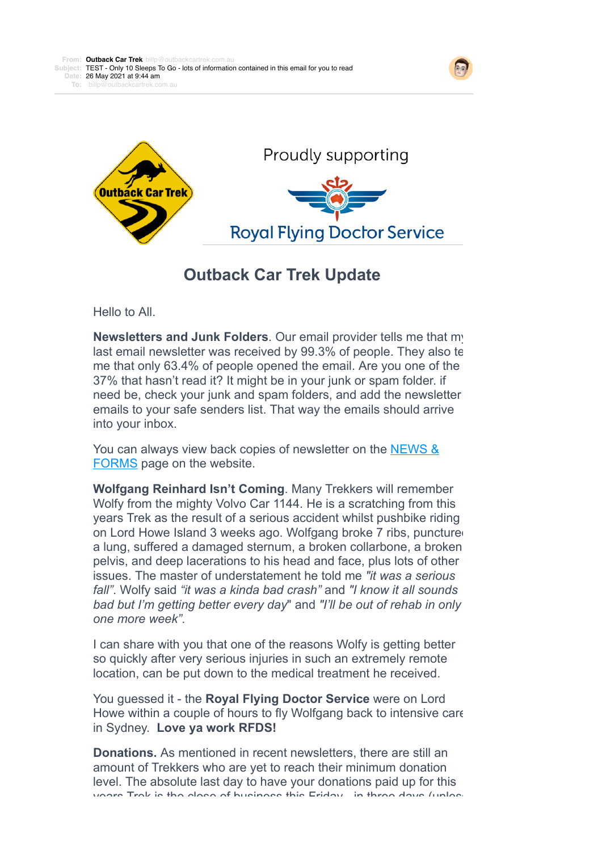



## **Outback Car Trek Update**

Hello to All.

**Newsletters and Junk Folders**. Our email provider tells me that my last email newsletter was received by 99.3% of people. They also te me that only 63.4% of people opened the email. Are you one of the 37% that hasn't read it? It might be in your junk or spam folder. if need be, check your junk and spam folders, and add the newsletter emails to your safe senders list. That way the emails should arrive into your inbox.

[You can always view back copies of newsletter on the NEWS &](https://4ljld.r.bh.d.sendibt3.com/mk/cl/f/WDrtAsDRJZpz2nC2SnopEu4-gpQtTieZL4hr7FGh5PxCdPl5jZtGlRZ6GsSMHdsjBn2tMzOjYUB2h6ldLOvSxGRayyxKfurVTfj-Y5LSFuF3IMXpml0RgCdVe60Kte8fIfHKjT1Ig6qSVcdECXSNZkV6VV0RRHa5JOV77YQ8yfkka3NAa33BhfCPTziLVZSrow) FORMS page on the website.

**Wolfgang Reinhard Isn't Coming**. Many Trekkers will remember Wolfy from the mighty Volvo Car 1144. He is a scratching from this years Trek as the result of a serious accident whilst pushbike riding on Lord Howe Island 3 weeks ago. Wolfgang broke 7 ribs, punctured a lung, suffered a damaged sternum, a broken collarbone, a broken pelvis, and deep lacerations to his head and face, plus lots of other issues. The master of understatement he told me *"it was a serious fall"*. Wolfy said *"it was a kinda bad crash"* and *"I know it all sounds bad but I'm getting better every day*" and *"I'll be out of rehab in only one more week"*.

I can share with you that one of the reasons Wolfy is getting better so quickly after very serious injuries in such an extremely remote location, can be put down to the medical treatment he received.

You guessed it - the **Royal Flying Doctor Service** were on Lord Howe within a couple of hours to fly Wolfgang back to intensive care in Sydney. **Love ya work RFDS!**

**Donations.** As mentioned in recent newsletters, there are still an amount of Trekkers who are yet to reach their minimum donation level. The absolute last day to have your donations paid up for this years Trek is the close of business this Friday - in three days (unless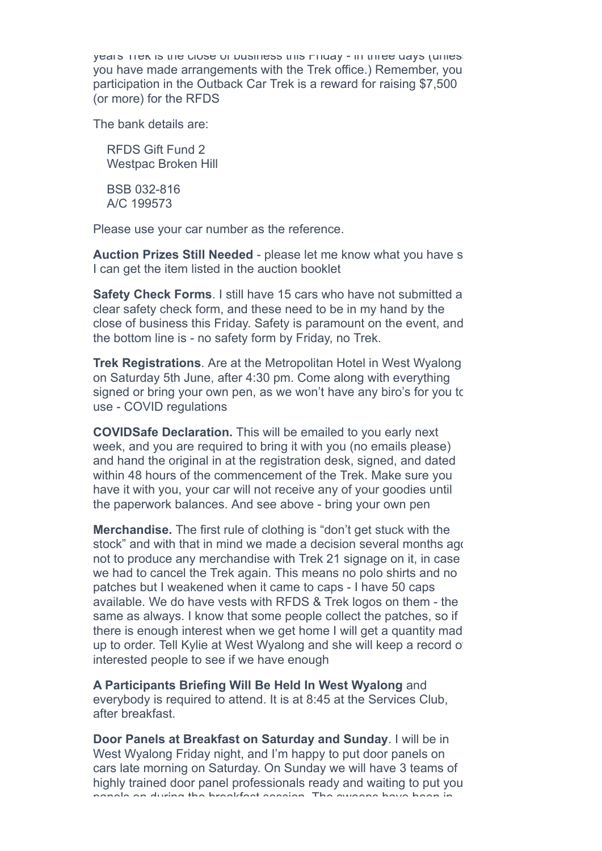years Trek is the close of business this Friday - in three days (unless you have made arrangements with the Trek office.) Remember, you participation in the Outback Car Trek is a reward for raising \$7,500 (or more) for the RFDS

The bank details are:

 RFDS Gift Fund 2 Westpac Broken Hill

 BSB 032-816 A/C 199573

Please use your car number as the reference.

**Auction Prizes Still Needed** - please let me know what you have s I can get the item listed in the auction booklet

**Safety Check Forms**. I still have 15 cars who have not submitted a clear safety check form, and these need to be in my hand by the close of business this Friday. Safety is paramount on the event, and the bottom line is - no safety form by Friday, no Trek.

**Trek Registrations**. Are at the Metropolitan Hotel in West Wyalong on Saturday 5th June, after 4:30 pm. Come along with everything signed or bring your own pen, as we won't have any biro's for you to use - COVID regulations

**COVIDSafe Declaration.** This will be emailed to you early next week, and you are required to bring it with you (no emails please) and hand the original in at the registration desk, signed, and dated within 48 hours of the commencement of the Trek. Make sure you have it with you, your car will not receive any of your goodies until the paperwork balances. And see above - bring your own pen

**Merchandise.** The first rule of clothing is "don't get stuck with the stock" and with that in mind we made a decision several months ago not to produce any merchandise with Trek 21 signage on it, in case we had to cancel the Trek again. This means no polo shirts and no patches but I weakened when it came to caps - I have 50 caps available. We do have vests with RFDS & Trek logos on them - the same as always. I know that some people collect the patches, so if there is enough interest when we get home I will get a quantity made up to order. Tell Kylie at West Wyalong and she will keep a record of interested people to see if we have enough

**A Participants Briefing Will Be Held In West Wyalong** and everybody is required to attend. It is at 8:45 at the Services Club, after breakfast.

**Door Panels at Breakfast on Saturday and Sunday**. I will be in West Wyalong Friday night, and I'm happy to put door panels on cars late morning on Saturday. On Sunday we will have 3 teams of highly trained door panel professionals ready and waiting to put your panels on during the breakfast session. The sweeps have been in